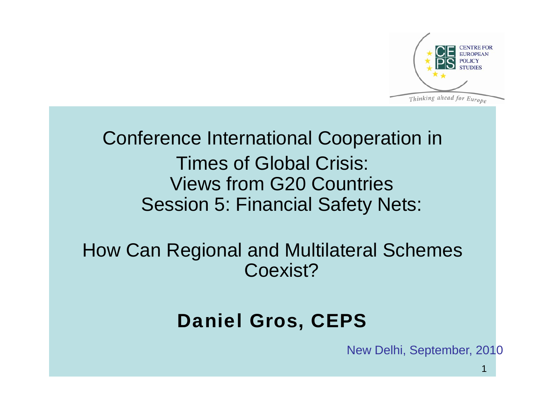

Conference International Cooperation in Times of Global Crisis: Views from G20 Countries Session 5: Financial Safety Nets:

How Can Regional and Multilateral Schemes Coexist?

#### Daniel Gros, CEPS

New Delhi, September, 2010

1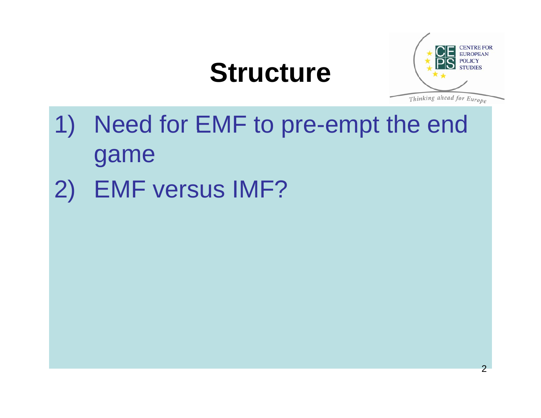## **Structure**



- 1) Need for EMF to pre-empt the end game
- 2) EMF versus IMF?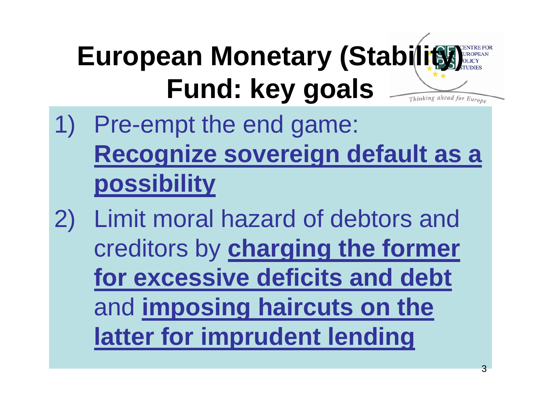#### **European Monetary (Stability) Fund: key goals** Thinking ahead for Europe

- 1) Pre-empt the end game: **Recognize sovereign default as a possibility**
- 2) Limit moral hazard of debtors and creditors by **charging the former for excessive deficits and debt**  and **imposing haircuts on the latter for imprudent lending**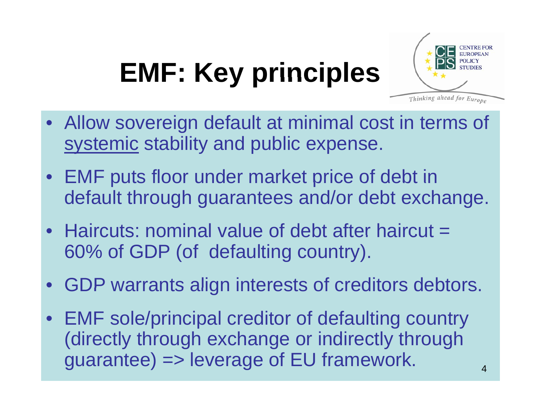# **EMF: Key principles**



- Allow soverei gn default at minimal cost in terms of systemic stability and public expense.
- EMF puts floor under market price of debt in default through guarantees and/or debt exchange.
- Haircuts: nominal value of debt after haircut  $=$ 60% of GDP (of defaulting country).
- GDP warrants align interests of creditors debtors.
- EMF sole/principal creditor of defaulting country (directly through exchange or indirectly through guarantee) => leverage of EU framework.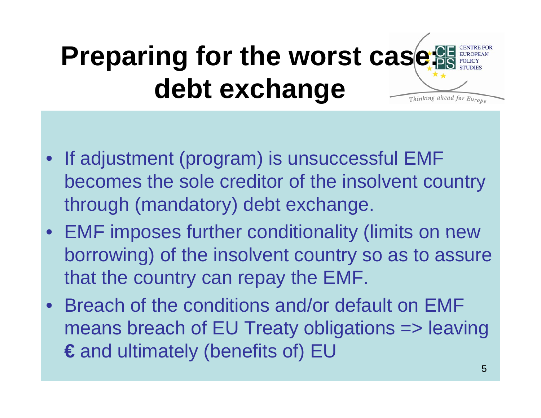#### **Preparing for the worst case debt exchange** Thinking ahead for Europe

- If adjustment (program) is unsuccessful EMF becomes the sole creditor of the insolvent country through (mandatory) debt exchange.
- EMF imposes further conditionality (limits on new borrowing) of the insolvent country so as to assure that the country can repay the EMF.
- $\bullet$  Breach of the conditions and/or default on EMF means breach of EU Treaty obligations => leaving **€** and ultimately (benefits of) EU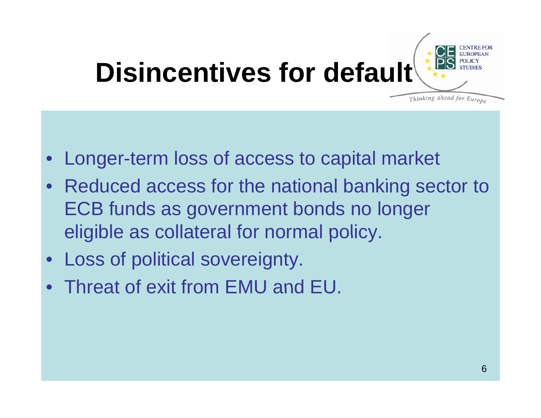

- $\bullet$ Longer-term loss of access to capital market
- Reduced access for the national banking sector to ECB funds as government bonds no longer eligible as collateral for normal policy.
- Loss of political sovereignty.
- Threat of exit from EMU and EU.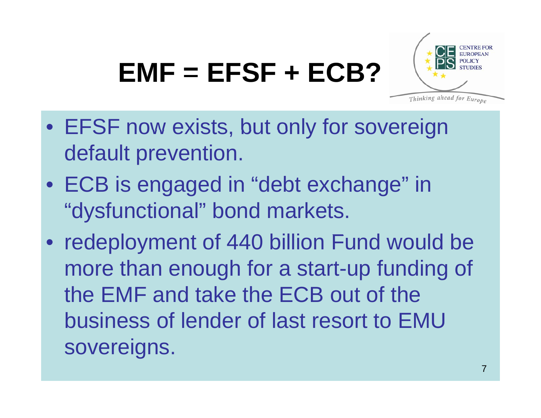## **EMF <sup>=</sup> EFSF <sup>+</sup> ECB?**



- EFSF now exists, but only for sovereign default prevention.
- ECB is engaged in "debt exchange" in "dysfunctional" bond markets.
- redeployment of 440 billion Fund would be more than enough for a start-up funding of the EMF and take the ECB out of the business of lender of last resort to EMU sovereigns.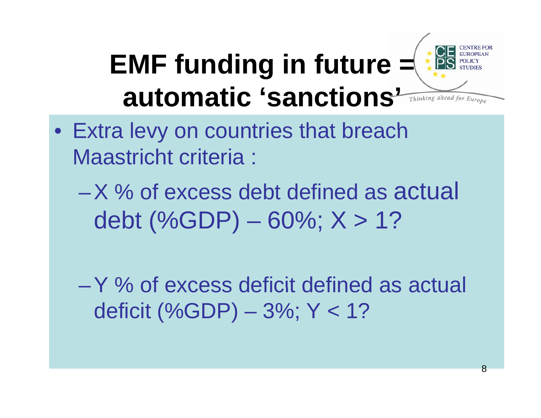# **EMF funding in future = automatic 'sanctions'**



- $\bullet\,$  Extra levy on countries that breach Maastricht criteria :
	- $-$ X % of excess debt defined as actual debt (%GDP) – 60%; X > 1?

 $-$  Y  $\%$  of excess deficit defined as actual deficit (%GDP) – 3%; Y < 1?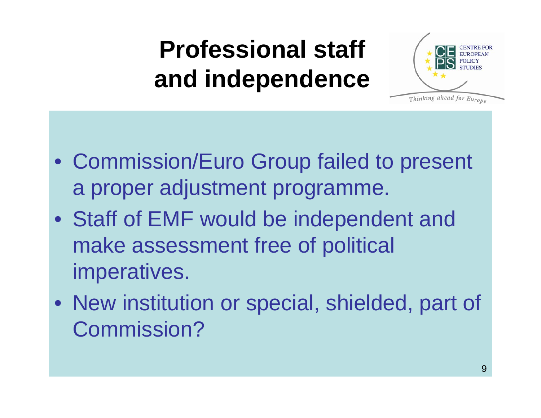## **Professional staff and independence**



- Commission/Euro Group failed to present a proper adjustment programme.
- Staff of EMF would be independent and make assessment free of political imperatives.
- New institution or special, shielded, part of Commission?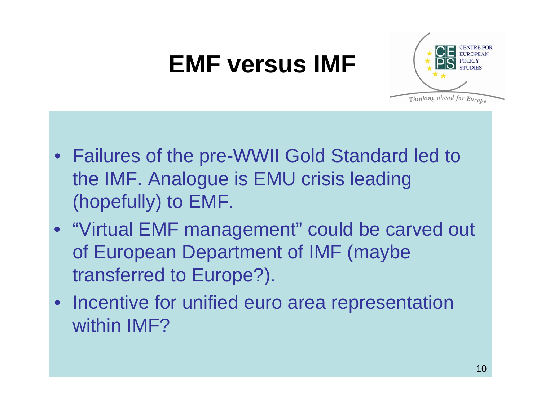### **EMF versus IMF**



- Failures of the pre-WWII Gold Standard led to the IMF. Analogue is EMU crisis leading (hopefully) to EMF.
- "Virtual EMF management" could be carved out of European Department of IMF (maybe transferred to Europe?).
- Incentive for unified euro area representation within IMF?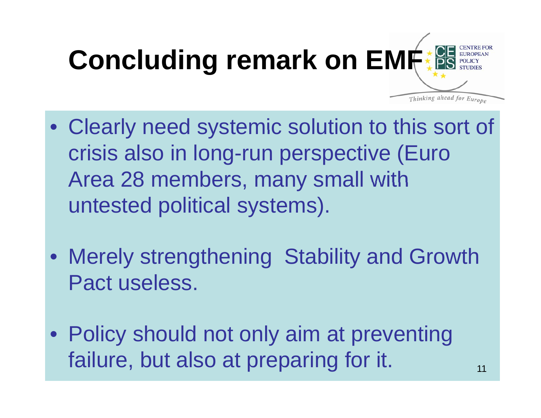

- Clearly need systemic solution to this sort of crisis also in long-run perspective (Euro Area 28 members, many small with untested political systems).
- Merely strengthening Stability and Growth Pact useless.
- Policy should not only aim at preventing failure, but also at preparing for it.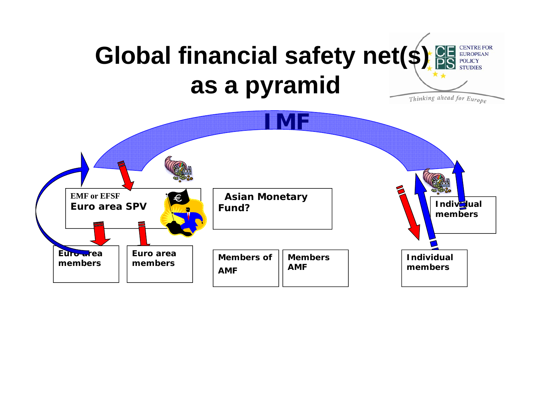#### Global financial safety net(\$) **BE EUROPEAN as a pyramid** Thinking ahead for Europe